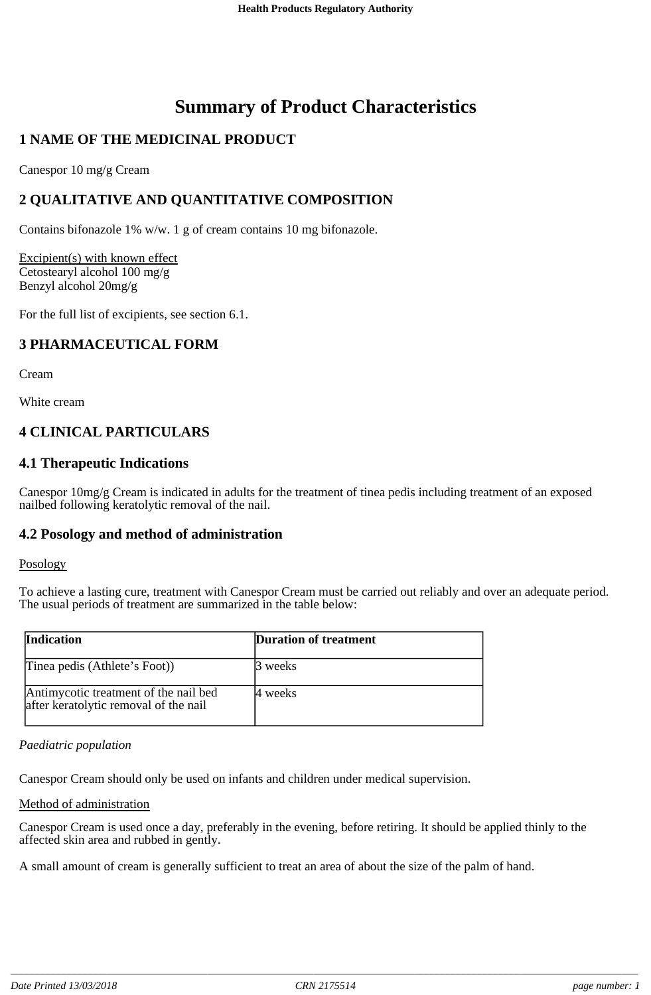# **Summary of Product Characteristics**

# **1 NAME OF THE MEDICINAL PRODUCT**

Canespor 10 mg/g Cream

# **2 QUALITATIVE AND QUANTITATIVE COMPOSITION**

Contains bifonazole 1% w/w. 1 g of cream contains 10 mg bifonazole.

Excipient(s) with known effect Cetostearyl alcohol 100 mg/g Benzyl alcohol 20mg/g

For the full list of excipients, see section 6.1.

# **3 PHARMACEUTICAL FORM**

Cream

White cream

# **4 CLINICAL PARTICULARS**

## **4.1 Therapeutic Indications**

Canespor 10mg/g Cream is indicated in adults for the treatment of tinea pedis including treatment of an exposed nailbed following keratolytic removal of the nail.

## **4.2 Posology and method of administration**

#### Posology

To achieve a lasting cure, treatment with Canespor Cream must be carried out reliably and over an adequate period. The usual periods of treatment are summarized in the table below:

| <b>Indication</b>                                                              | <b>Duration of treatment</b> |
|--------------------------------------------------------------------------------|------------------------------|
| Tinea pedis (Athlete's Foot))                                                  | <sup>13</sup> weeks          |
| Antimycotic treatment of the nail bed<br>after keratolytic removal of the nail | 14 weeks                     |

#### *Paediatric population*

Canespor Cream should only be used on infants and children under medical supervision.

#### Method of administration

Canespor Cream is used once a day, preferably in the evening, before retiring. It should be applied thinly to the affected skin area and rubbed in gently.

A small amount of cream is generally sufficient to treat an area of about the size of the palm of hand.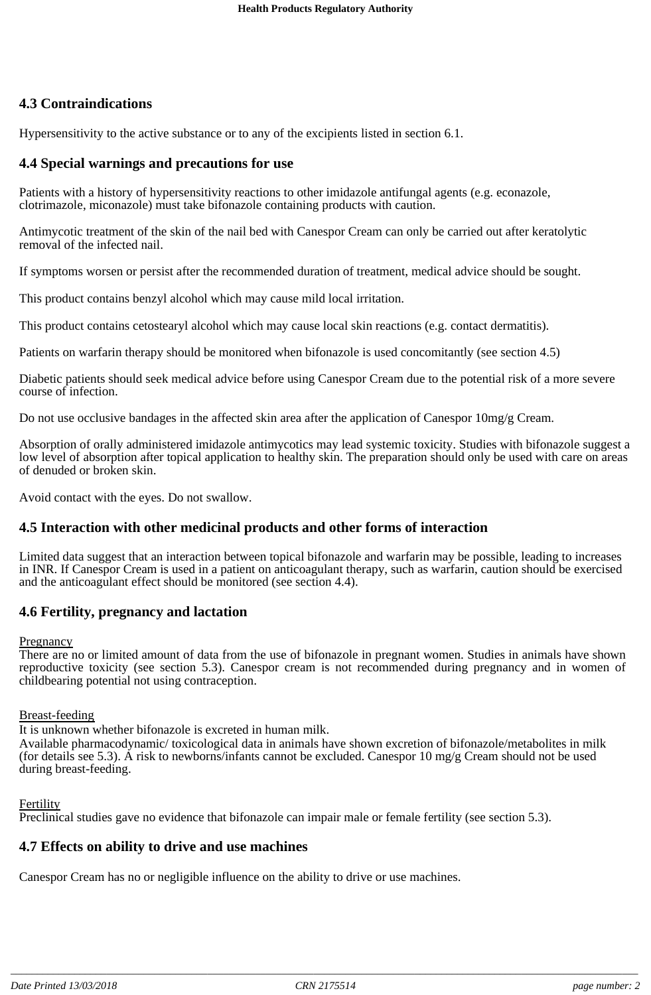# **4.3 Contraindications**

Hypersensitivity to the active substance or to any of the excipients listed in section 6.1.

# **4.4 Special warnings and precautions for use**

Patients with a history of hypersensitivity reactions to other imidazole antifungal agents (e.g. econazole, clotrimazole, miconazole) must take bifonazole containing products with caution.

Antimycotic treatment of the skin of the nail bed with Canespor Cream can only be carried out after keratolytic removal of the infected nail.

If symptoms worsen or persist after the recommended duration of treatment, medical advice should be sought.

This product contains benzyl alcohol which may cause mild local irritation.

This product contains cetostearyl alcohol which may cause local skin reactions (e.g. contact dermatitis).

Patients on warfarin therapy should be monitored when bifonazole is used concomitantly (see section 4.5)

Diabetic patients should seek medical advice before using Canespor Cream due to the potential risk of a more severe course of infection.

Do not use occlusive bandages in the affected skin area after the application of Canespor 10mg/g Cream.

Absorption of orally administered imidazole antimycotics may lead systemic toxicity. Studies with bifonazole suggest a low level of absorption after topical application to healthy skin. The preparation should only be used with care on areas of denuded or broken skin.

Avoid contact with the eyes. Do not swallow.

## **4.5 Interaction with other medicinal products and other forms of interaction**

Limited data suggest that an interaction between topical bifonazole and warfarin may be possible, leading to increases in INR. If Canespor Cream is used in a patient on anticoagulant therapy, such as warfarin, caution should be exercised and the anticoagulant effect should be monitored (see section 4.4).

## **4.6 Fertility, pregnancy and lactation**

#### **Pregnancy**

There are no or limited amount of data from the use of bifonazole in pregnant women. Studies in animals have shown reproductive toxicity (see section 5.3). Canespor cream is not recommended during pregnancy and in women of childbearing potential not using contraception.

#### Breast-feeding

It is unknown whether bifonazole is excreted in human milk.

Available pharmacodynamic/ toxicological data in animals have shown excretion of bifonazole/metabolites in milk (for details see 5.3). A risk to newborns/infants cannot be excluded. Canespor 10 mg/g Cream should not be used during breast-feeding.

#### **Fertility**

Preclinical studies gave no evidence that bifonazole can impair male or female fertility (see section 5.3).

#### **4.7 Effects on ability to drive and use machines**

Canespor Cream has no or negligible influence on the ability to drive or use machines.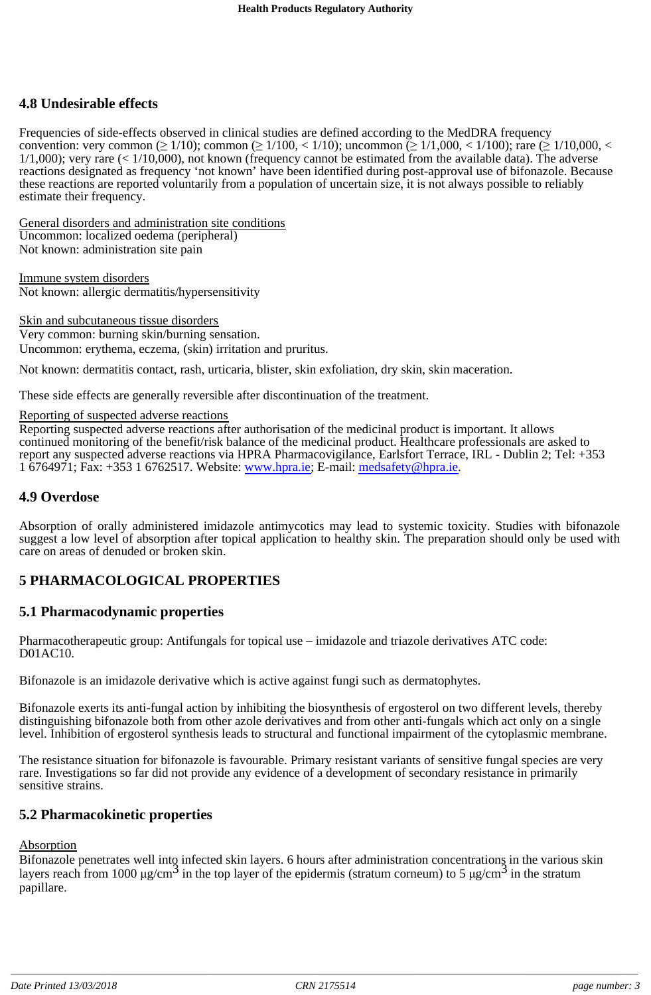# **4.8 Undesirable effects**

Frequencies of side-effects observed in clinical studies are defined according to the MedDRA frequency convention: very common ( $\geq 1/10$ ); common ( $\geq 1/100$ , < 1/10); uncommon ( $\geq 1/1,000$ , < 1/100); rare ( $\geq 1/10,000$ , <  $1/1,000$ ); very rare (<  $1/10,000$ ), not known (frequency cannot be estimated from the available data). The adverse reactions designated as frequency 'not known' have been identified during post-approval use of bifonazole. Because these reactions are reported voluntarily from a population of uncertain size, it is not always possible to reliably estimate their frequency.

General disorders and administration site conditions Uncommon: localized oedema (peripheral) Not known: administration site pain

Immune system disorders Not known: allergic dermatitis/hypersensitivity

Skin and subcutaneous tissue disorders Very common: burning skin/burning sensation. Uncommon: erythema, eczema, (skin) irritation and pruritus.

Not known: dermatitis contact, rash, urticaria, blister, skin exfoliation, dry skin, skin maceration.

These side effects are generally reversible after discontinuation of the treatment.

#### Reporting of suspected adverse reactions

Reporting suspected adverse reactions after authorisation of the medicinal product is important. It allows continued monitoring of the benefit/risk balance of the medicinal product. Healthcare professionals are asked to report any suspected adverse reactions via HPRA Pharmacovigilance, Earlsfort Terrace, IRL - Dublin 2; Tel: +353 1 6764971; Fax: +353 1 6762517. Website: www.hpra.ie; E-mail: medsafety@hpra.ie.

#### **4.9 Overdose**

Absorption of orally administered imidazole antimycotics may lead to systemic toxicity. Studies with bifonazole suggest a low level of absorption after topical application to healthy skin. The preparation should only be used with care on areas of denuded or broken skin.

## **5 PHARMACOLOGICAL PROPERTIES**

#### **5.1 Pharmacodynamic properties**

Pharmacotherapeutic group: Antifungals for topical use – imidazole and triazole derivatives ATC code: D01AC10.

Bifonazole is an imidazole derivative which is active against fungi such as dermatophytes.

Bifonazole exerts its anti-fungal action by inhibiting the biosynthesis of ergosterol on two different levels, thereby distinguishing bifonazole both from other azole derivatives and from other anti-fungals which act only on a single level. Inhibition of ergosterol synthesis leads to structural and functional impairment of the cytoplasmic membrane.

The resistance situation for bifonazole is favourable. Primary resistant variants of sensitive fungal species are very rare. Investigations so far did not provide any evidence of a development of secondary resistance in primarily sensitive strains.

#### **5.2 Pharmacokinetic properties**

#### **Absorption**

Bifonazole penetrates well into infected skin layers. 6 hours after administration concentrations in the various skin layers reach from  $1000 \mu\text{g/cm}^3$  in the top layer of the epidermis (stratum corneum) to 5  $\mu\text{g/cm}^3$  in the stratum papillare.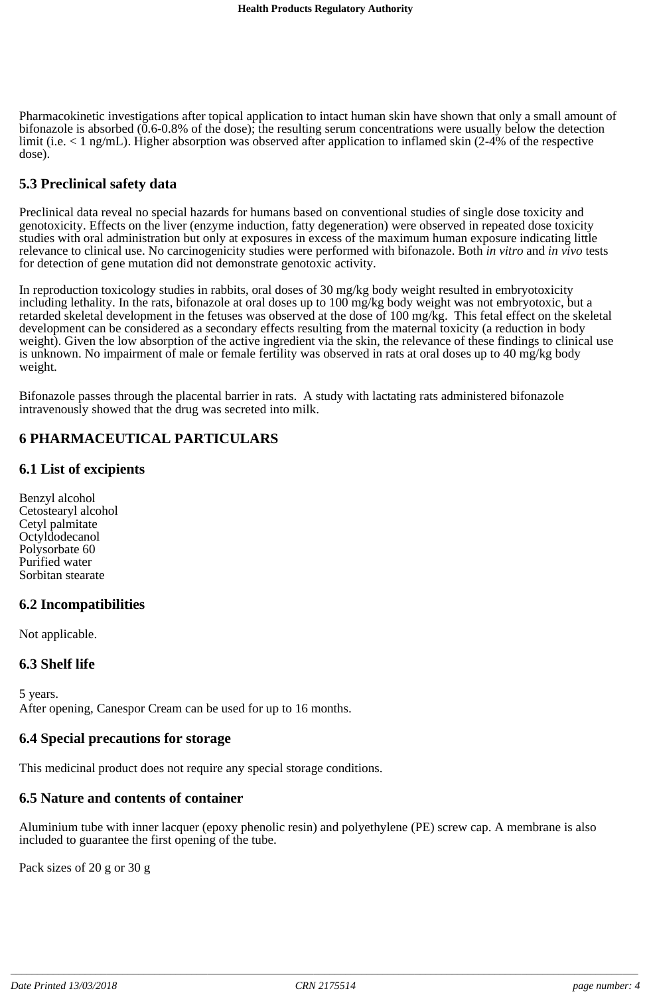Pharmacokinetic investigations after topical application to intact human skin have shown that only a small amount of bifonazole is absorbed (0.6-0.8% of the dose); the resulting serum concentrations were usually below the detection limit (i.e. < 1 ng/mL). Higher absorption was observed after application to inflamed skin (2-4% of the respective dose).

# **5.3 Preclinical safety data**

Preclinical data reveal no special hazards for humans based on conventional studies of single dose toxicity and genotoxicity. Effects on the liver (enzyme induction, fatty degeneration) were observed in repeated dose toxicity studies with oral administration but only at exposures in excess of the maximum human exposure indicating little relevance to clinical use. No carcinogenicity studies were performed with bifonazole. Both *in vitro* and *in vivo* tests for detection of gene mutation did not demonstrate genotoxic activity.

In reproduction toxicology studies in rabbits, oral doses of 30 mg/kg body weight resulted in embryotoxicity including lethality. In the rats, bifonazole at oral doses up to 100 mg/kg body weight was not embryotoxic, but a retarded skeletal development in the fetuses was observed at the dose of 100 mg/kg. This fetal effect on the skeletal development can be considered as a secondary effects resulting from the maternal toxicity (a reduction in body weight). Given the low absorption of the active ingredient via the skin, the relevance of these findings to clinical use is unknown. No impairment of male or female fertility was observed in rats at oral doses up to 40 mg/kg body weight.

Bifonazole passes through the placental barrier in rats. A study with lactating rats administered bifonazole intravenously showed that the drug was secreted into milk.

# **6 PHARMACEUTICAL PARTICULARS**

### **6.1 List of excipients**

Benzyl alcohol Cetostearyl alcohol Cetyl palmitate Octyldodecanol Polysorbate 60 Purified water Sorbitan stearate

## **6.2 Incompatibilities**

Not applicable.

#### **6.3 Shelf life**

5 years. After opening, Canespor Cream can be used for up to 16 months.

## **6.4 Special precautions for storage**

This medicinal product does not require any special storage conditions.

## **6.5 Nature and contents of container**

Aluminium tube with inner lacquer (epoxy phenolic resin) and polyethylene (PE) screw cap. A membrane is also included to guarantee the first opening of the tube.

Pack sizes of 20 g or 30 g